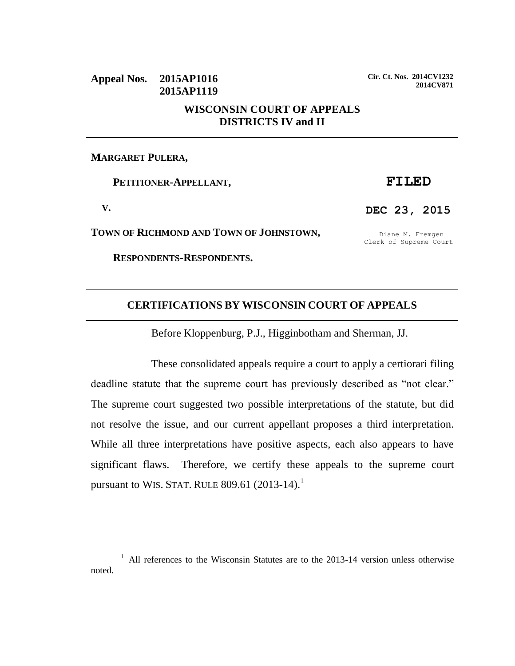## **Appeal Nos. 2015AP1016 2015AP1119 WISCONSIN COURT OF APPEALS DISTRICTS IV and II**

#### **MARGARET PULERA,**

 **PETITIONER-APPELLANT,**

 **V.**

l

**TOWN OF RICHMOND AND TOWN OF JOHNSTOWN,**

 **RESPONDENTS-RESPONDENTS.**

**Cir. Ct. Nos. 2014CV1232 2014CV871**

**DEC 23, 2015**

Diane M. Fremgen Clerk of Supreme Court

## **CERTIFICATIONS BY WISCONSIN COURT OF APPEALS**

Before Kloppenburg, P.J., Higginbotham and Sherman, JJ.

These consolidated appeals require a court to apply a certiorari filing deadline statute that the supreme court has previously described as "not clear." The supreme court suggested two possible interpretations of the statute, but did not resolve the issue, and our current appellant proposes a third interpretation. While all three interpretations have positive aspects, each also appears to have significant flaws. Therefore, we certify these appeals to the supreme court pursuant to WIS. STAT. RULE  $809.61$  (2013-14).<sup>1</sup>

# **FILED**

<sup>&</sup>lt;sup>1</sup> All references to the Wisconsin Statutes are to the 2013-14 version unless otherwise noted.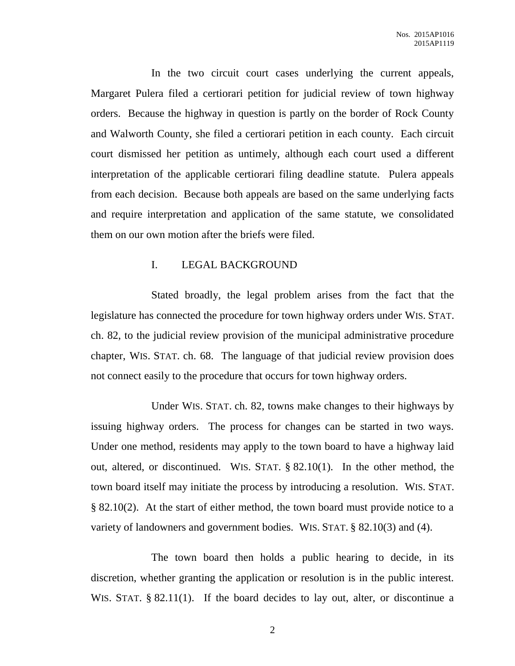In the two circuit court cases underlying the current appeals, Margaret Pulera filed a certiorari petition for judicial review of town highway orders. Because the highway in question is partly on the border of Rock County and Walworth County, she filed a certiorari petition in each county. Each circuit court dismissed her petition as untimely, although each court used a different interpretation of the applicable certiorari filing deadline statute. Pulera appeals from each decision. Because both appeals are based on the same underlying facts and require interpretation and application of the same statute, we consolidated them on our own motion after the briefs were filed.

### I. LEGAL BACKGROUND

Stated broadly, the legal problem arises from the fact that the legislature has connected the procedure for town highway orders under WIS. STAT. ch. 82, to the judicial review provision of the municipal administrative procedure chapter, WIS. STAT. ch. 68. The language of that judicial review provision does not connect easily to the procedure that occurs for town highway orders.

Under WIS. STAT. ch. 82, towns make changes to their highways by issuing highway orders. The process for changes can be started in two ways. Under one method, residents may apply to the town board to have a highway laid out, altered, or discontinued. WIS. STAT. § 82.10(1). In the other method, the town board itself may initiate the process by introducing a resolution. WIS. STAT. § 82.10(2). At the start of either method, the town board must provide notice to a variety of landowners and government bodies. WIS. STAT. § 82.10(3) and (4).

The town board then holds a public hearing to decide, in its discretion, whether granting the application or resolution is in the public interest. WIS. STAT. § 82.11(1). If the board decides to lay out, alter, or discontinue a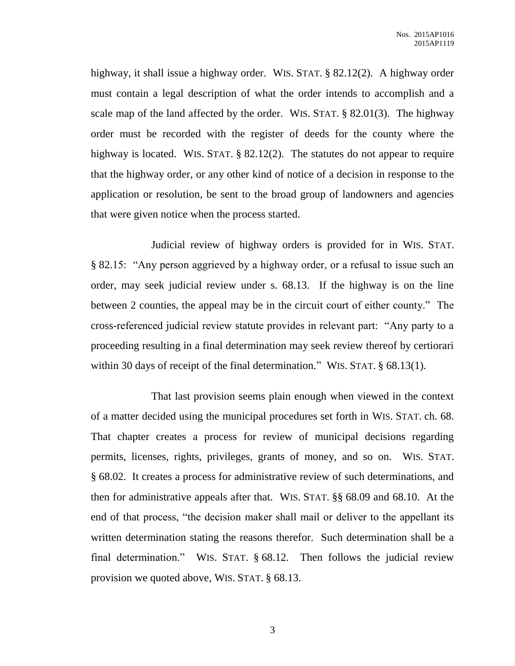highway, it shall issue a highway order. WIS. STAT. § 82.12(2). A highway order must contain a legal description of what the order intends to accomplish and a scale map of the land affected by the order. WIS. STAT. § 82.01(3). The highway order must be recorded with the register of deeds for the county where the highway is located. WIS. STAT. § 82.12(2). The statutes do not appear to require that the highway order, or any other kind of notice of a decision in response to the application or resolution, be sent to the broad group of landowners and agencies that were given notice when the process started.

Judicial review of highway orders is provided for in WIS. STAT. § 82.15: "Any person aggrieved by a highway order, or a refusal to issue such an order, may seek judicial review under s. 68.13. If the highway is on the line between 2 counties, the appeal may be in the circuit court of either county." The cross-referenced judicial review statute provides in relevant part: "Any party to a proceeding resulting in a final determination may seek review thereof by certiorari within 30 days of receipt of the final determination." WIS. STAT. § 68.13(1).

That last provision seems plain enough when viewed in the context of a matter decided using the municipal procedures set forth in WIS. STAT. ch. 68. That chapter creates a process for review of municipal decisions regarding permits, licenses, rights, privileges, grants of money, and so on. WIS. STAT. § 68.02. It creates a process for administrative review of such determinations, and then for administrative appeals after that. WIS. STAT. §§ 68.09 and 68.10. At the end of that process, "the decision maker shall mail or deliver to the appellant its written determination stating the reasons therefor. Such determination shall be a final determination." WIS. STAT. § 68.12. Then follows the judicial review provision we quoted above, WIS. STAT. § 68.13.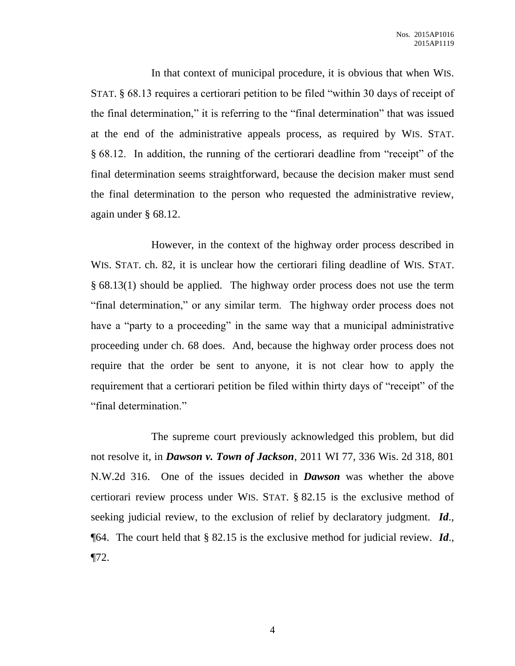In that context of municipal procedure, it is obvious that when WIS. STAT. § 68.13 requires a certiorari petition to be filed "within 30 days of receipt of the final determination," it is referring to the "final determination" that was issued at the end of the administrative appeals process, as required by WIS. STAT. § 68.12. In addition, the running of the certiorari deadline from "receipt" of the final determination seems straightforward, because the decision maker must send the final determination to the person who requested the administrative review, again under § 68.12.

However, in the context of the highway order process described in WIS. STAT. ch. 82, it is unclear how the certiorari filing deadline of WIS. STAT. § 68.13(1) should be applied. The highway order process does not use the term "final determination," or any similar term. The highway order process does not have a "party to a proceeding" in the same way that a municipal administrative proceeding under ch. 68 does. And, because the highway order process does not require that the order be sent to anyone, it is not clear how to apply the requirement that a certiorari petition be filed within thirty days of "receipt" of the "final determination."

The supreme court previously acknowledged this problem, but did not resolve it, in *Dawson v. Town of Jackson*, 2011 WI 77, 336 Wis. 2d 318, 801 N.W.2d 316. One of the issues decided in *Dawson* was whether the above certiorari review process under WIS. STAT. § 82.15 is the exclusive method of seeking judicial review, to the exclusion of relief by declaratory judgment. *Id*., ¶64. The court held that § 82.15 is the exclusive method for judicial review. *Id*.,  $\P$ 72.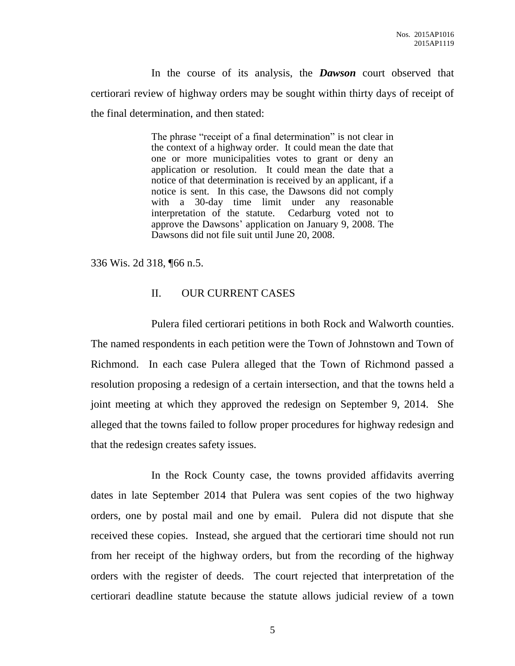In the course of its analysis, the *Dawson* court observed that certiorari review of highway orders may be sought within thirty days of receipt of the final determination, and then stated:

> The phrase "receipt of a final determination" is not clear in the context of a highway order. It could mean the date that one or more municipalities votes to grant or deny an application or resolution. It could mean the date that a notice of that determination is received by an applicant, if a notice is sent. In this case, the Dawsons did not comply with a 30-day time limit under any reasonable interpretation of the statute. Cedarburg voted not to approve the Dawsons' application on January 9, 2008. The Dawsons did not file suit until June 20, 2008.

336 Wis. 2d 318, ¶66 n.5.

### II. OUR CURRENT CASES

Pulera filed certiorari petitions in both Rock and Walworth counties. The named respondents in each petition were the Town of Johnstown and Town of Richmond. In each case Pulera alleged that the Town of Richmond passed a resolution proposing a redesign of a certain intersection, and that the towns held a joint meeting at which they approved the redesign on September 9, 2014. She alleged that the towns failed to follow proper procedures for highway redesign and that the redesign creates safety issues.

In the Rock County case, the towns provided affidavits averring dates in late September 2014 that Pulera was sent copies of the two highway orders, one by postal mail and one by email. Pulera did not dispute that she received these copies. Instead, she argued that the certiorari time should not run from her receipt of the highway orders, but from the recording of the highway orders with the register of deeds. The court rejected that interpretation of the certiorari deadline statute because the statute allows judicial review of a town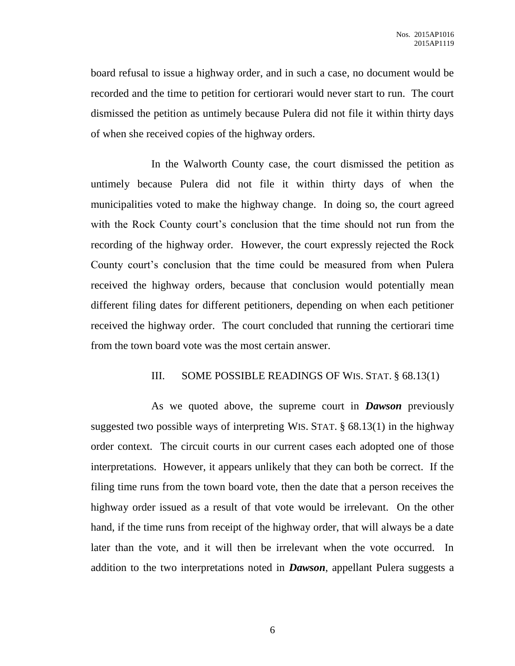board refusal to issue a highway order, and in such a case, no document would be recorded and the time to petition for certiorari would never start to run. The court dismissed the petition as untimely because Pulera did not file it within thirty days of when she received copies of the highway orders.

In the Walworth County case, the court dismissed the petition as untimely because Pulera did not file it within thirty days of when the municipalities voted to make the highway change. In doing so, the court agreed with the Rock County court's conclusion that the time should not run from the recording of the highway order. However, the court expressly rejected the Rock County court's conclusion that the time could be measured from when Pulera received the highway orders, because that conclusion would potentially mean different filing dates for different petitioners, depending on when each petitioner received the highway order. The court concluded that running the certiorari time from the town board vote was the most certain answer.

#### III. SOME POSSIBLE READINGS OF WIS. STAT. § 68.13(1)

As we quoted above, the supreme court in *Dawson* previously suggested two possible ways of interpreting WIS. STAT. § 68.13(1) in the highway order context. The circuit courts in our current cases each adopted one of those interpretations. However, it appears unlikely that they can both be correct. If the filing time runs from the town board vote, then the date that a person receives the highway order issued as a result of that vote would be irrelevant. On the other hand, if the time runs from receipt of the highway order, that will always be a date later than the vote, and it will then be irrelevant when the vote occurred. In addition to the two interpretations noted in *Dawson*, appellant Pulera suggests a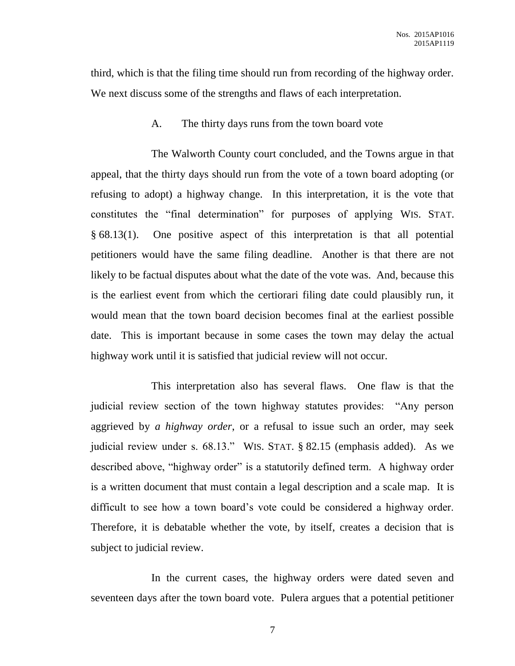third, which is that the filing time should run from recording of the highway order. We next discuss some of the strengths and flaws of each interpretation.

A. The thirty days runs from the town board vote

The Walworth County court concluded, and the Towns argue in that appeal, that the thirty days should run from the vote of a town board adopting (or refusing to adopt) a highway change. In this interpretation, it is the vote that constitutes the "final determination" for purposes of applying WIS. STAT. § 68.13(1). One positive aspect of this interpretation is that all potential petitioners would have the same filing deadline. Another is that there are not likely to be factual disputes about what the date of the vote was. And, because this is the earliest event from which the certiorari filing date could plausibly run, it would mean that the town board decision becomes final at the earliest possible date. This is important because in some cases the town may delay the actual highway work until it is satisfied that judicial review will not occur.

This interpretation also has several flaws. One flaw is that the judicial review section of the town highway statutes provides: "Any person aggrieved by *a highway order*, or a refusal to issue such an order, may seek judicial review under s. 68.13." WIS. STAT. § 82.15 (emphasis added). As we described above, "highway order" is a statutorily defined term. A highway order is a written document that must contain a legal description and a scale map. It is difficult to see how a town board's vote could be considered a highway order. Therefore, it is debatable whether the vote, by itself, creates a decision that is subject to judicial review.

In the current cases, the highway orders were dated seven and seventeen days after the town board vote. Pulera argues that a potential petitioner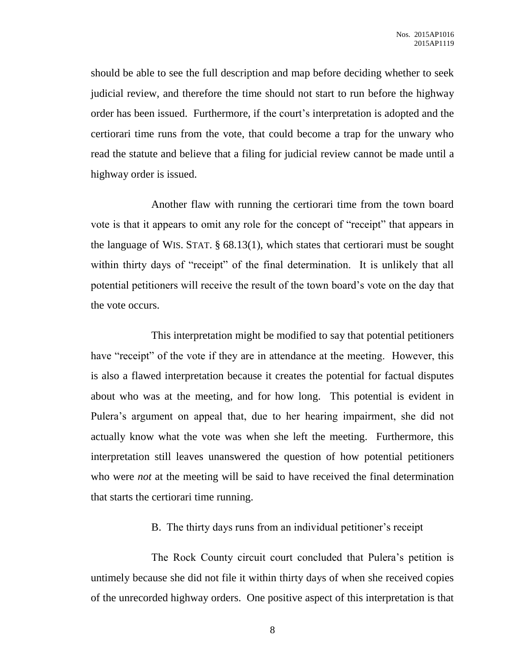should be able to see the full description and map before deciding whether to seek judicial review, and therefore the time should not start to run before the highway order has been issued. Furthermore, if the court's interpretation is adopted and the certiorari time runs from the vote, that could become a trap for the unwary who read the statute and believe that a filing for judicial review cannot be made until a highway order is issued.

Another flaw with running the certiorari time from the town board vote is that it appears to omit any role for the concept of "receipt" that appears in the language of WIS. STAT. § 68.13(1), which states that certiorari must be sought within thirty days of "receipt" of the final determination. It is unlikely that all potential petitioners will receive the result of the town board's vote on the day that the vote occurs.

This interpretation might be modified to say that potential petitioners have "receipt" of the vote if they are in attendance at the meeting. However, this is also a flawed interpretation because it creates the potential for factual disputes about who was at the meeting, and for how long. This potential is evident in Pulera's argument on appeal that, due to her hearing impairment, she did not actually know what the vote was when she left the meeting. Furthermore, this interpretation still leaves unanswered the question of how potential petitioners who were *not* at the meeting will be said to have received the final determination that starts the certiorari time running.

B. The thirty days runs from an individual petitioner's receipt

The Rock County circuit court concluded that Pulera's petition is untimely because she did not file it within thirty days of when she received copies of the unrecorded highway orders. One positive aspect of this interpretation is that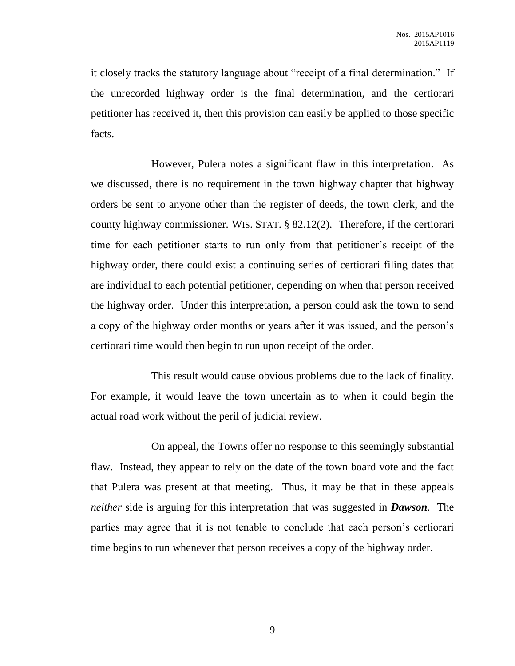it closely tracks the statutory language about "receipt of a final determination." If the unrecorded highway order is the final determination, and the certiorari petitioner has received it, then this provision can easily be applied to those specific facts.

However, Pulera notes a significant flaw in this interpretation. As we discussed, there is no requirement in the town highway chapter that highway orders be sent to anyone other than the register of deeds, the town clerk, and the county highway commissioner. WIS. STAT. § 82.12(2). Therefore, if the certiorari time for each petitioner starts to run only from that petitioner's receipt of the highway order, there could exist a continuing series of certiorari filing dates that are individual to each potential petitioner, depending on when that person received the highway order. Under this interpretation, a person could ask the town to send a copy of the highway order months or years after it was issued, and the person's certiorari time would then begin to run upon receipt of the order.

This result would cause obvious problems due to the lack of finality. For example, it would leave the town uncertain as to when it could begin the actual road work without the peril of judicial review.

On appeal, the Towns offer no response to this seemingly substantial flaw. Instead, they appear to rely on the date of the town board vote and the fact that Pulera was present at that meeting. Thus, it may be that in these appeals *neither* side is arguing for this interpretation that was suggested in *Dawson*. The parties may agree that it is not tenable to conclude that each person's certiorari time begins to run whenever that person receives a copy of the highway order.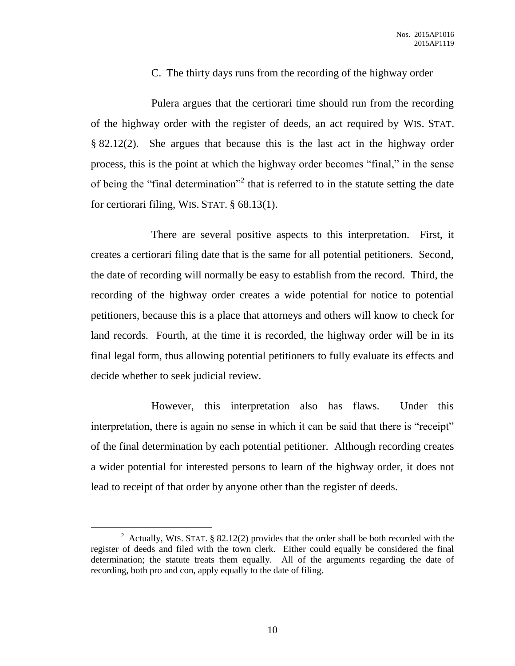### C. The thirty days runs from the recording of the highway order

Pulera argues that the certiorari time should run from the recording of the highway order with the register of deeds, an act required by WIS. STAT. § 82.12(2). She argues that because this is the last act in the highway order process, this is the point at which the highway order becomes "final," in the sense of being the "final determination"<sup>2</sup> that is referred to in the statute setting the date for certiorari filing, WIS. STAT. § 68.13(1).

There are several positive aspects to this interpretation. First, it creates a certiorari filing date that is the same for all potential petitioners. Second, the date of recording will normally be easy to establish from the record. Third, the recording of the highway order creates a wide potential for notice to potential petitioners, because this is a place that attorneys and others will know to check for land records. Fourth, at the time it is recorded, the highway order will be in its final legal form, thus allowing potential petitioners to fully evaluate its effects and decide whether to seek judicial review.

However, this interpretation also has flaws. Under this interpretation, there is again no sense in which it can be said that there is "receipt" of the final determination by each potential petitioner. Although recording creates a wider potential for interested persons to learn of the highway order, it does not lead to receipt of that order by anyone other than the register of deeds.

<sup>&</sup>lt;sup>2</sup> Actually, WIS. STAT. § 82.12(2) provides that the order shall be both recorded with the register of deeds and filed with the town clerk. Either could equally be considered the final determination; the statute treats them equally. All of the arguments regarding the date of recording, both pro and con, apply equally to the date of filing.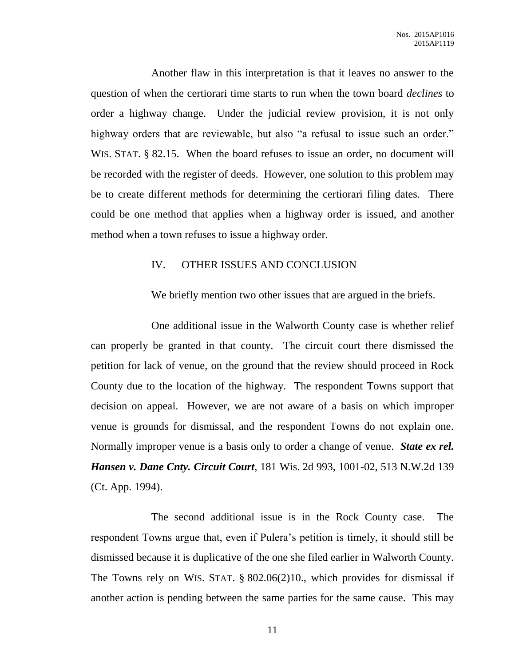Another flaw in this interpretation is that it leaves no answer to the question of when the certiorari time starts to run when the town board *declines* to order a highway change. Under the judicial review provision, it is not only highway orders that are reviewable, but also "a refusal to issue such an order." WIS. STAT. § 82.15. When the board refuses to issue an order, no document will be recorded with the register of deeds. However, one solution to this problem may be to create different methods for determining the certiorari filing dates. There could be one method that applies when a highway order is issued, and another method when a town refuses to issue a highway order.

#### IV. OTHER ISSUES AND CONCLUSION

We briefly mention two other issues that are argued in the briefs.

One additional issue in the Walworth County case is whether relief can properly be granted in that county. The circuit court there dismissed the petition for lack of venue, on the ground that the review should proceed in Rock County due to the location of the highway. The respondent Towns support that decision on appeal. However, we are not aware of a basis on which improper venue is grounds for dismissal, and the respondent Towns do not explain one. Normally improper venue is a basis only to order a change of venue. *State ex rel. Hansen v. Dane Cnty. Circuit Court*, 181 Wis. 2d 993, 1001-02, 513 N.W.2d 139 (Ct. App. 1994).

The second additional issue is in the Rock County case. The respondent Towns argue that, even if Pulera's petition is timely, it should still be dismissed because it is duplicative of the one she filed earlier in Walworth County. The Towns rely on WIS. STAT. § 802.06(2)10., which provides for dismissal if another action is pending between the same parties for the same cause. This may